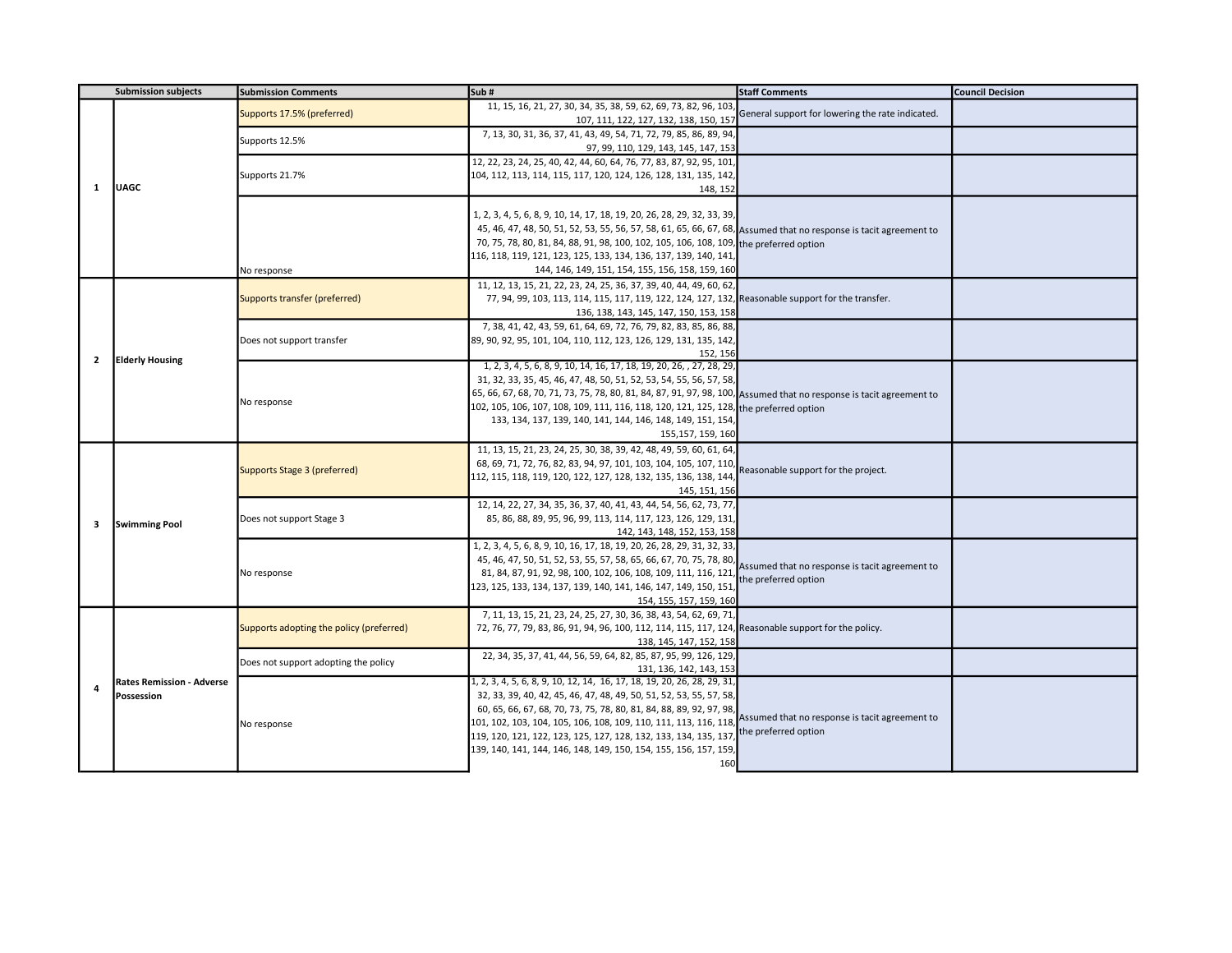|                | <b>Submission subjects</b>       | <b>Submission Comments</b>               | Sub#                                                                                                                               | <b>Staff Comments</b>                            | <b>Council Decision</b> |
|----------------|----------------------------------|------------------------------------------|------------------------------------------------------------------------------------------------------------------------------------|--------------------------------------------------|-------------------------|
|                |                                  |                                          | 11, 15, 16, 21, 27, 30, 34, 35, 38, 59, 62, 69, 73, 82, 96, 103                                                                    | General support for lowering the rate indicated. |                         |
|                |                                  | Supports 17.5% (preferred)               | 107, 111, 122, 127, 132, 138, 150, 157                                                                                             |                                                  |                         |
|                |                                  |                                          | 7, 13, 30, 31, 36, 37, 41, 43, 49, 54, 71, 72, 79, 85, 86, 89, 94                                                                  |                                                  |                         |
|                |                                  | Supports 12.5%                           | 97, 99, 110, 129, 143, 145, 147, 153                                                                                               |                                                  |                         |
|                |                                  |                                          | 12, 22, 23, 24, 25, 40, 42, 44, 60, 64, 76, 77, 83, 87, 92, 95, 101                                                                |                                                  |                         |
|                |                                  | Supports 21.7%                           | 104, 112, 113, 114, 115, 117, 120, 124, 126, 128, 131, 135, 142                                                                    |                                                  |                         |
| <sup>1</sup>   | <b>JUAGC</b>                     |                                          | 148, 152                                                                                                                           |                                                  |                         |
|                |                                  |                                          |                                                                                                                                    |                                                  |                         |
|                |                                  |                                          | 1, 2, 3, 4, 5, 6, 8, 9, 10, 14, 17, 18, 19, 20, 26, 28, 29, 32, 33, 39,                                                            |                                                  |                         |
|                |                                  |                                          | 45, 46, 47, 48, 50, 51, 52, 53, 55, 56, 57, 58, 61, 65, 66, 67, 68, Assumed that no response is tacit agreement to                 |                                                  |                         |
|                |                                  |                                          | 70, 75, 78, 80, 81, 84, 88, 91, 98, 100, 102, 105, 106, 108, 109, the preferred option                                             |                                                  |                         |
|                |                                  |                                          | 116, 118, 119, 121, 123, 125, 133, 134, 136, 137, 139, 140, 141                                                                    |                                                  |                         |
|                |                                  | No response                              | 144, 146, 149, 151, 154, 155, 156, 158, 159, 160                                                                                   |                                                  |                         |
|                |                                  |                                          | 11, 12, 13, 15, 21, 22, 23, 24, 25, 36, 37, 39, 40, 44, 49, 60, 62                                                                 |                                                  |                         |
|                |                                  | Supports transfer (preferred)            | 77, 94, 99, 103, 113, 114, 115, 117, 119, 122, 124, 127, 132, Reasonable support for the transfer.                                 |                                                  |                         |
|                |                                  |                                          | 136, 138, 143, 145, 147, 150, 153, 158                                                                                             |                                                  |                         |
|                |                                  |                                          | 7, 38, 41, 42, 43, 59, 61, 64, 69, 72, 76, 79, 82, 83, 85, 86, 88                                                                  |                                                  |                         |
|                |                                  | Does not support transfer                | 89, 90, 92, 95, 101, 104, 110, 112, 123, 126, 129, 131, 135, 142,                                                                  |                                                  |                         |
| $\overline{2}$ | <b>Elderly Housing</b>           |                                          | 152, 156                                                                                                                           |                                                  |                         |
|                |                                  |                                          | 1, 2, 3, 4, 5, 6, 8, 9, 10, 14, 16, 17, 18, 19, 20, 26, , 27, 28, 29                                                               |                                                  |                         |
|                |                                  |                                          | 31, 32, 33, 35, 45, 46, 47, 48, 50, 51, 52, 53, 54, 55, 56, 57, 58,                                                                |                                                  |                         |
|                |                                  | No response                              | 65, 66, 67, 68, 70, 71, 73, 75, 78, 80, 81, 84, 87, 91, 97, 98, 100, Assumed that no response is tacit agreement to                |                                                  |                         |
|                |                                  |                                          | 102, 105, 106, 107, 108, 109, 111, 116, 118, 120, 121, 125, 128, the preferred option                                              |                                                  |                         |
|                |                                  |                                          | 133, 134, 137, 139, 140, 141, 144, 146, 148, 149, 151, 154                                                                         |                                                  |                         |
|                |                                  |                                          | 155, 157, 159, 160                                                                                                                 |                                                  |                         |
|                |                                  |                                          | 11, 13, 15, 21, 23, 24, 25, 30, 38, 39, 42, 48, 49, 59, 60, 61, 64,                                                                |                                                  |                         |
|                |                                  | Supports Stage 3 (preferred)             | 68, 69, 71, 72, 76, 82, 83, 94, 97, 101, 103, 104, 105, 107, 110,                                                                  | Reasonable support for the project.              |                         |
|                |                                  |                                          | 112, 115, 118, 119, 120, 122, 127, 128, 132, 135, 136, 138, 144                                                                    |                                                  |                         |
|                |                                  |                                          | 145, 151, 156                                                                                                                      |                                                  |                         |
|                |                                  |                                          | 12, 14, 22, 27, 34, 35, 36, 37, 40, 41, 43, 44, 54, 56, 62, 73, 77                                                                 |                                                  |                         |
| 3              | <b>Swimming Pool</b>             | Does not support Stage 3                 | 85, 86, 88, 89, 95, 96, 99, 113, 114, 117, 123, 126, 129, 131                                                                      |                                                  |                         |
|                |                                  |                                          | 142, 143, 148, 152, 153, 158                                                                                                       |                                                  |                         |
|                |                                  |                                          | 1, 2, 3, 4, 5, 6, 8, 9, 10, 16, 17, 18, 19, 20, 26, 28, 29, 31, 32, 33,                                                            |                                                  |                         |
|                |                                  |                                          | 45, 46, 47, 50, 51, 52, 53, 55, 57, 58, 65, 66, 67, 70, 75, 78, 80,                                                                | Assumed that no response is tacit agreement to   |                         |
|                |                                  | No response                              | 81, 84, 87, 91, 92, 98, 100, 102, 106, 108, 109, 111, 116, 121                                                                     | the preferred option                             |                         |
|                |                                  |                                          | 123, 125, 133, 134, 137, 139, 140, 141, 146, 147, 149, 150, 151                                                                    |                                                  |                         |
|                |                                  |                                          | 154, 155, 157, 159, 160                                                                                                            |                                                  |                         |
|                |                                  |                                          | 7, 11, 13, 15, 21, 23, 24, 25, 27, 30, 36, 38, 43, 54, 62, 69, 71                                                                  |                                                  |                         |
|                |                                  | Supports adopting the policy (preferred) | 72, 76, 77, 79, 83, 86, 91, 94, 96, 100, 112, 114, 115, 117, 124, Reasonable support for the policy.                               |                                                  |                         |
|                |                                  |                                          | 138, 145, 147, 152, 158                                                                                                            |                                                  |                         |
|                |                                  | Does not support adopting the policy     | 22, 34, 35, 37, 41, 44, 56, 59, 64, 82, 85, 87, 95, 99, 126, 129                                                                   |                                                  |                         |
|                |                                  |                                          | 131, 136, 142, 143, 153                                                                                                            |                                                  |                         |
| 4              | <b>Rates Remission - Adverse</b> |                                          | 1, 2, 3, 4, 5, 6, 8, 9, 10, 12, 14, 16, 17, 18, 19, 20, 26, 28, 29, 31                                                             |                                                  |                         |
|                | Possession                       |                                          | 32, 33, 39, 40, 42, 45, 46, 47, 48, 49, 50, 51, 52, 53, 55, 57, 58,                                                                |                                                  |                         |
|                |                                  |                                          | 60, 65, 66, 67, 68, 70, 73, 75, 78, 80, 81, 84, 88, 89, 92, 97, 98,                                                                | Assumed that no response is tacit agreement to   |                         |
|                |                                  | No response                              | 101, 102, 103, 104, 105, 106, 108, 109, 110, 111, 113, 116, 118<br>119, 120, 121, 122, 123, 125, 127, 128, 132, 133, 134, 135, 137 | the preferred option                             |                         |
|                |                                  |                                          | 139, 140, 141, 144, 146, 148, 149, 150, 154, 155, 156, 157, 159,                                                                   |                                                  |                         |
|                |                                  |                                          | 160                                                                                                                                |                                                  |                         |
|                |                                  |                                          |                                                                                                                                    |                                                  |                         |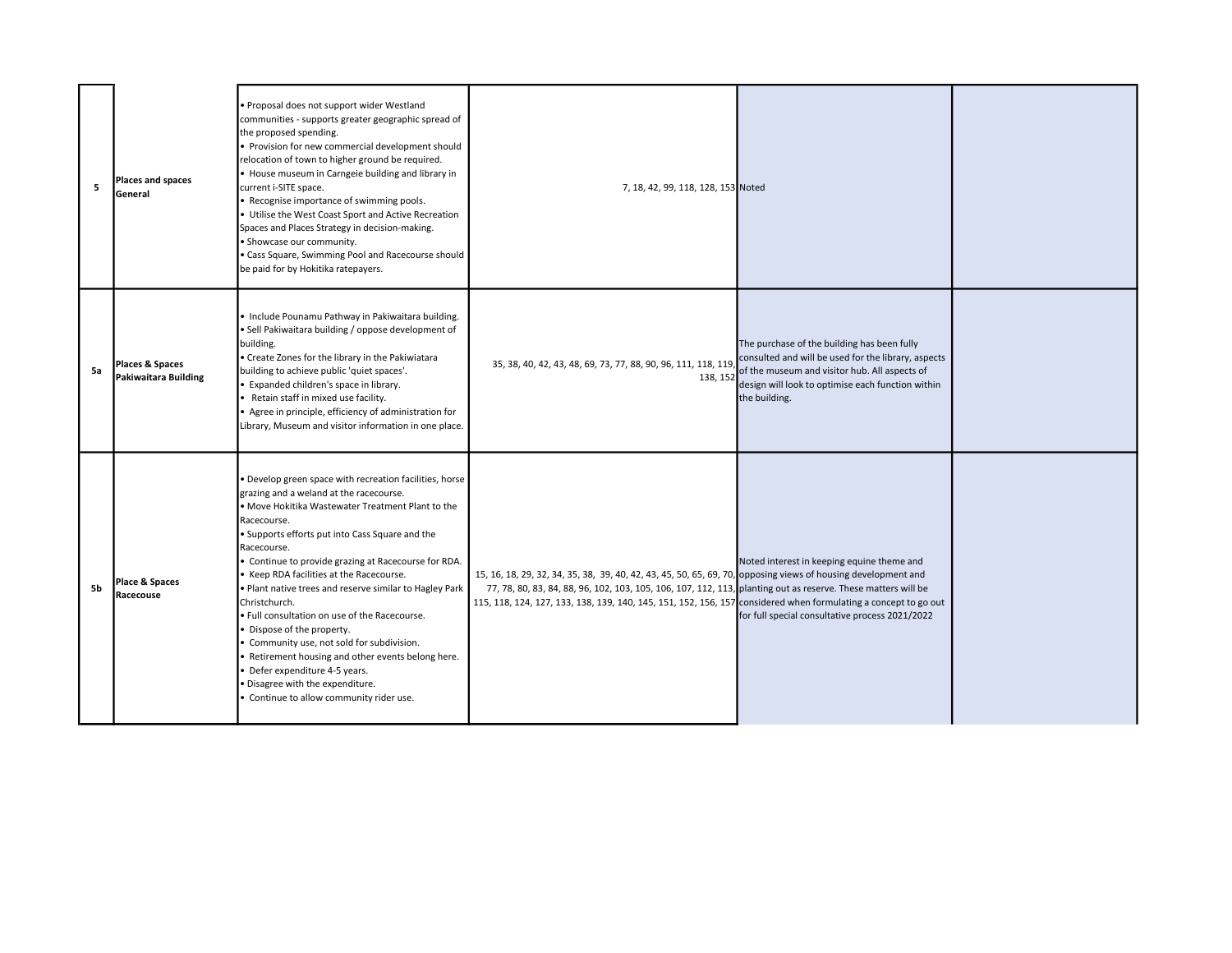| 5  | Places and spaces<br>General            | Proposal does not support wider Westland<br>communities - supports greater geographic spread of<br>the proposed spending.<br>Provision for new commercial development should<br>relocation of town to higher ground be required.<br>House museum in Carngeie building and library in<br>current i-SITE space.<br>Recognise importance of swimming pools.<br>Utilise the West Coast Sport and Active Recreation<br>Spaces and Places Strategy in decision-making.<br>Showcase our community.<br>Cass Square, Swimming Pool and Racecourse should<br>be paid for by Hokitika ratepayers.                                                                                                                  | 7, 18, 42, 99, 118, 128, 153 Noted                                                                                                                                                                                                                                                                |                                                                                                                                                                                                                           |  |
|----|-----------------------------------------|---------------------------------------------------------------------------------------------------------------------------------------------------------------------------------------------------------------------------------------------------------------------------------------------------------------------------------------------------------------------------------------------------------------------------------------------------------------------------------------------------------------------------------------------------------------------------------------------------------------------------------------------------------------------------------------------------------|---------------------------------------------------------------------------------------------------------------------------------------------------------------------------------------------------------------------------------------------------------------------------------------------------|---------------------------------------------------------------------------------------------------------------------------------------------------------------------------------------------------------------------------|--|
| 5a | Places & Spaces<br>Pakiwaitara Building | Include Pounamu Pathway in Pakiwaitara building.<br>· Sell Pakiwaitara building / oppose development of<br>building.<br>Create Zones for the library in the Pakiwiatara<br>building to achieve public 'quiet spaces'.<br>Expanded children's space in library.<br>Retain staff in mixed use facility.<br>Agree in principle, efficiency of administration for<br>Library, Museum and visitor information in one place.                                                                                                                                                                                                                                                                                  | 35, 38, 40, 42, 43, 48, 69, 73, 77, 88, 90, 96, 111, 118, 119<br>138, 152                                                                                                                                                                                                                         | The purchase of the building has been fully<br>consulted and will be used for the library, aspects<br>of the museum and visitor hub. All aspects of<br>design will look to optimise each function within<br>the building. |  |
| 5b | Place & Spaces<br>Racecouse             | Develop green space with recreation facilities, horse<br>grazing and a weland at the racecourse.<br>• Move Hokitika Wastewater Treatment Plant to the<br>Racecourse.<br>· Supports efforts put into Cass Square and the<br>Racecourse.<br>Continue to provide grazing at Racecourse for RDA.<br>Keep RDA facilities at the Racecourse.<br>Plant native trees and reserve similar to Hagley Park<br>Christchurch.<br>Full consultation on use of the Racecourse.<br>Dispose of the property.<br>Community use, not sold for subdivision.<br>Retirement housing and other events belong here.<br>Defer expenditure 4-5 years.<br>Disagree with the expenditure.<br>Continue to allow community rider use. | 15, 16, 18, 29, 32, 34, 35, 38, 39, 40, 42, 43, 45, 50, 65, 69, 70, opposing views of housing development and<br>77, 78, 80, 83, 84, 88, 96, 102, 103, 105, 106, 107, 112, 113, planting out as reserve. These matters will be<br>115, 118, 124, 127, 133, 138, 139, 140, 145, 151, 152, 156, 157 | Noted interest in keeping equine theme and<br>considered when formulating a concept to go out<br>for full special consultative process 2021/2022                                                                          |  |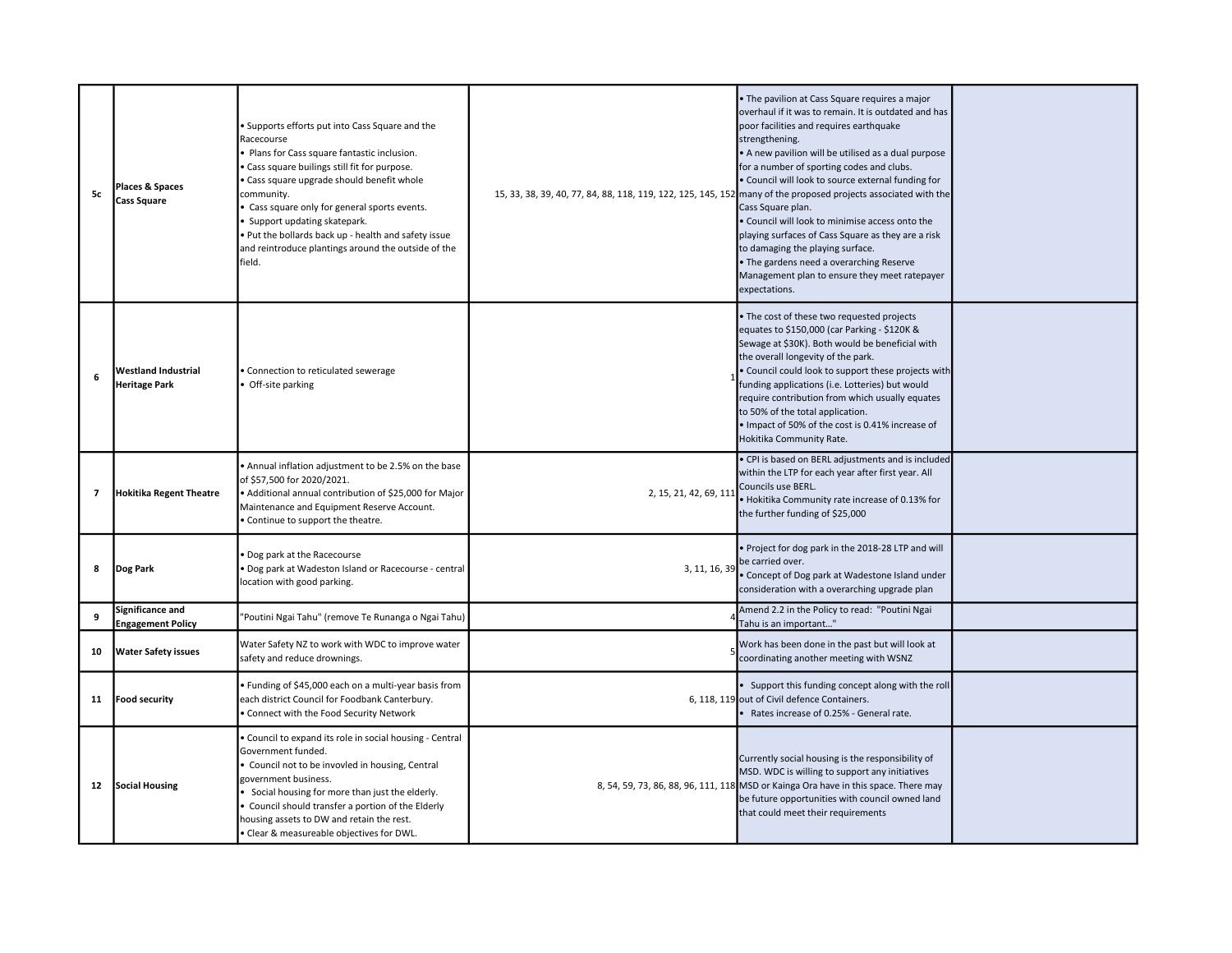| 5c                       | Places & Spaces<br><b>Cass Square</b>              | Supports efforts put into Cass Square and the<br>Racecourse<br>Plans for Cass square fantastic inclusion.<br>Cass square builings still fit for purpose.<br>Cass square upgrade should benefit whole<br>community.<br>Cass square only for general sports events.<br>Support updating skatepark.<br>Put the bollards back up - health and safety issue<br>and reintroduce plantings around the outside of the<br>field. | 15, 33, 38, 39, 40, 77, 84, 88, 118, 119, 122, 125, 145, 152 | The pavilion at Cass Square requires a major<br>overhaul if it was to remain. It is outdated and has<br>poor facilities and requires earthquake<br>strengthening.<br>• A new pavilion will be utilised as a dual purpose<br>for a number of sporting codes and clubs.<br>. Council will look to source external funding for<br>many of the proposed projects associated with the<br>Cass Square plan.<br>. Council will look to minimise access onto the<br>playing surfaces of Cass Square as they are a risk<br>to damaging the playing surface.<br>. The gardens need a overarching Reserve<br>Management plan to ensure they meet ratepayer<br>expectations. |  |
|--------------------------|----------------------------------------------------|-------------------------------------------------------------------------------------------------------------------------------------------------------------------------------------------------------------------------------------------------------------------------------------------------------------------------------------------------------------------------------------------------------------------------|--------------------------------------------------------------|------------------------------------------------------------------------------------------------------------------------------------------------------------------------------------------------------------------------------------------------------------------------------------------------------------------------------------------------------------------------------------------------------------------------------------------------------------------------------------------------------------------------------------------------------------------------------------------------------------------------------------------------------------------|--|
| 6                        | <b>Westland Industrial</b><br><b>Heritage Park</b> | Connection to reticulated sewerage<br>Off-site parking                                                                                                                                                                                                                                                                                                                                                                  |                                                              | The cost of these two requested projects<br>equates to \$150,000 (car Parking - \$120K &<br>Sewage at \$30K). Both would be beneficial with<br>the overall longevity of the park.<br>Council could look to support these projects with<br>funding applications (i.e. Lotteries) but would<br>require contribution from which usually equates<br>to 50% of the total application.<br>• Impact of 50% of the cost is 0.41% increase of<br>Hokitika Community Rate.                                                                                                                                                                                                 |  |
| $\overline{\phantom{a}}$ | <b>Hokitika Regent Theatre</b>                     | Annual inflation adjustment to be 2.5% on the base<br>of \$57,500 for 2020/2021.<br>· Additional annual contribution of \$25,000 for Major<br>Maintenance and Equipment Reserve Account.<br>Continue to support the theatre.                                                                                                                                                                                            | 2, 15, 21, 42, 69, 111                                       | · CPI is based on BERL adjustments and is included<br>within the LTP for each year after first year. All<br>Councils use BERL.<br>• Hokitika Community rate increase of 0.13% for<br>the further funding of \$25,000                                                                                                                                                                                                                                                                                                                                                                                                                                             |  |
| 8                        | Dog Park                                           | Dog park at the Racecourse<br>Dog park at Wadeston Island or Racecourse - central<br>location with good parking.                                                                                                                                                                                                                                                                                                        | 3, 11, 16, 39                                                | Project for dog park in the 2018-28 LTP and will<br>be carried over.<br>Concept of Dog park at Wadestone Island under<br>consideration with a overarching upgrade plan                                                                                                                                                                                                                                                                                                                                                                                                                                                                                           |  |
| 9                        | Significance and<br><b>Engagement Policy</b>       | 'Poutini Ngai Tahu" (remove Te Runanga o Ngai Tahu)                                                                                                                                                                                                                                                                                                                                                                     |                                                              | Amend 2.2 in the Policy to read: "Poutini Ngai<br>Tahu is an important"                                                                                                                                                                                                                                                                                                                                                                                                                                                                                                                                                                                          |  |
| 10                       | <b>Water Safety issues</b>                         | Water Safety NZ to work with WDC to improve water<br>safety and reduce drownings.                                                                                                                                                                                                                                                                                                                                       |                                                              | Work has been done in the past but will look at<br>coordinating another meeting with WSNZ                                                                                                                                                                                                                                                                                                                                                                                                                                                                                                                                                                        |  |
| 11                       | <b>Food security</b>                               | · Funding of \$45,000 each on a multi-year basis from<br>each district Council for Foodbank Canterbury.<br>Connect with the Food Security Network                                                                                                                                                                                                                                                                       |                                                              | Support this funding concept along with the roll<br>6, 118, 119 out of Civil defence Containers.<br>Rates increase of 0.25% - General rate.                                                                                                                                                                                                                                                                                                                                                                                                                                                                                                                      |  |
| 12                       | <b>Social Housing</b>                              | Council to expand its role in social housing - Central<br>Government funded.<br>Council not to be invovled in housing, Central<br>government business.<br>Social housing for more than just the elderly.<br>Council should transfer a portion of the Elderly<br>housing assets to DW and retain the rest.<br>Clear & measureable objectives for DWL.                                                                    | 8, 54, 59, 73, 86, 88, 96, 111, 118                          | Currently social housing is the responsibility of<br>MSD. WDC is willing to support any initiatives<br>MSD or Kainga Ora have in this space. There may<br>be future opportunities with council owned land<br>that could meet their requirements                                                                                                                                                                                                                                                                                                                                                                                                                  |  |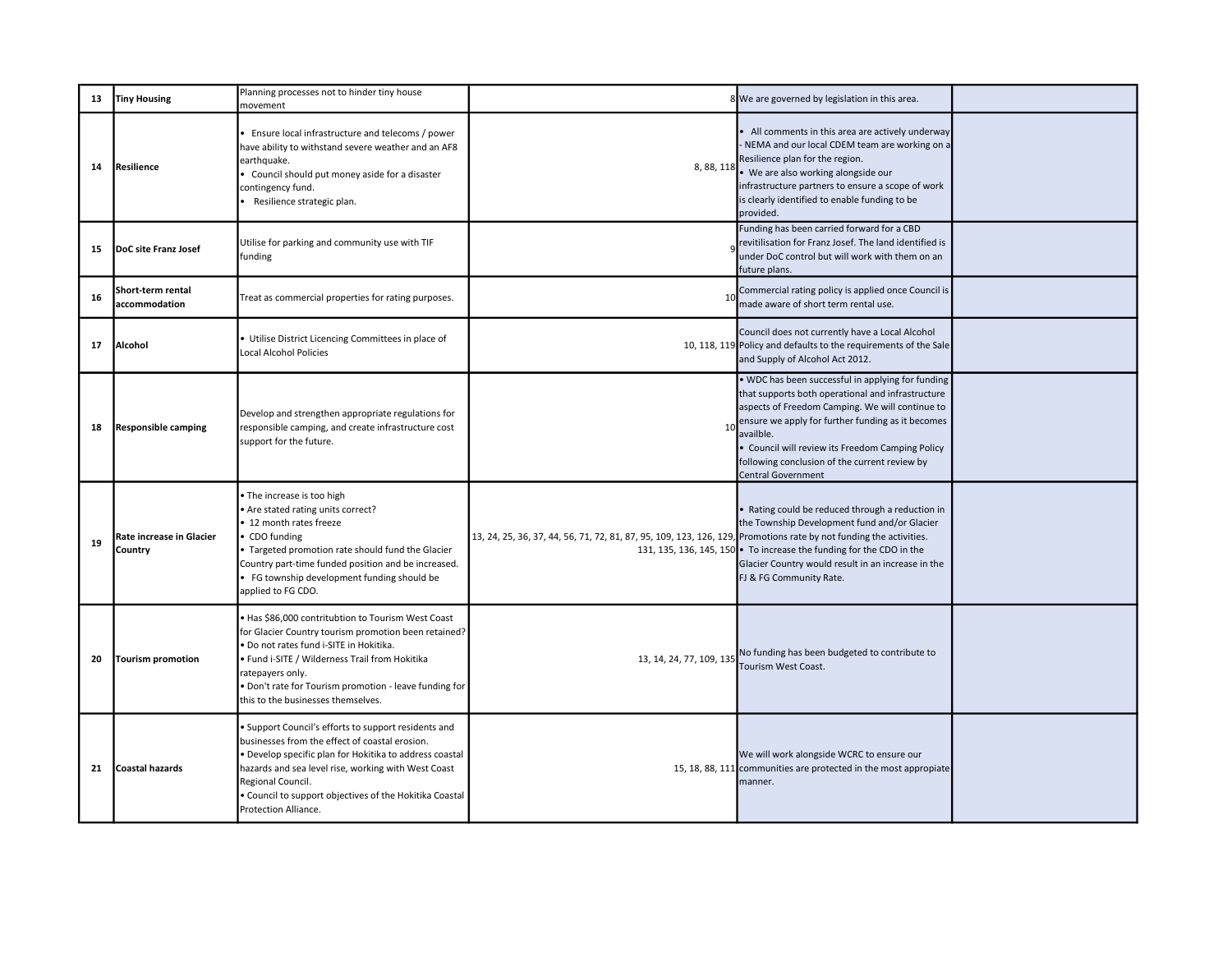| 13 | <b>Tiny Housing</b>                 | Planning processes not to hinder tiny house<br>movement                                                                                                                                                                                                                                                                    |                                                                                                                    | 8 We are governed by legislation in this area.                                                                                                                                                                                                                                                                                                              |  |
|----|-------------------------------------|----------------------------------------------------------------------------------------------------------------------------------------------------------------------------------------------------------------------------------------------------------------------------------------------------------------------------|--------------------------------------------------------------------------------------------------------------------|-------------------------------------------------------------------------------------------------------------------------------------------------------------------------------------------------------------------------------------------------------------------------------------------------------------------------------------------------------------|--|
| 14 | Resilience                          | Ensure local infrastructure and telecoms / power<br>have ability to withstand severe weather and an AF8<br>earthquake.<br>• Council should put money aside for a disaster<br>contingency fund.<br>Resilience strategic plan.                                                                                               |                                                                                                                    | All comments in this area are actively underway<br>NEMA and our local CDEM team are working on a<br>Resilience plan for the region.<br>8, 88, 118 . We are also working alongside our<br>infrastructure partners to ensure a scope of work<br>is clearly identified to enable funding to be<br>provided.                                                    |  |
| 15 | DoC site Franz Josef                | Utilise for parking and community use with TIF<br>funding                                                                                                                                                                                                                                                                  |                                                                                                                    | Funding has been carried forward for a CBD<br>revitilisation for Franz Josef. The land identified is<br>under DoC control but will work with them on an<br>future plans.                                                                                                                                                                                    |  |
| 16 | Short-term rental<br>accommodation  | Treat as commercial properties for rating purposes.                                                                                                                                                                                                                                                                        |                                                                                                                    | Commercial rating policy is applied once Council is<br>made aware of short term rental use.                                                                                                                                                                                                                                                                 |  |
| 17 | Alcohol                             | Utilise District Licencing Committees in place of<br>Local Alcohol Policies                                                                                                                                                                                                                                                |                                                                                                                    | Council does not currently have a Local Alcohol<br>10, 118, 119 Policy and defaults to the requirements of the Sale<br>and Supply of Alcohol Act 2012.                                                                                                                                                                                                      |  |
| 18 | <b>Responsible camping</b>          | Develop and strengthen appropriate regulations for<br>responsible camping, and create infrastructure cost<br>support for the future.                                                                                                                                                                                       | 10                                                                                                                 | . WDC has been successful in applying for funding<br>that supports both operational and infrastructure<br>aspects of Freedom Camping. We will continue to<br>ensure we apply for further funding as it becomes<br>availble.<br>Council will review its Freedom Camping Policy<br>following conclusion of the current review by<br><b>Central Government</b> |  |
| 19 | Rate increase in Glacier<br>Country | The increase is too high<br>Are stated rating units correct?<br>• 12 month rates freeze<br>CDO funding<br>Targeted promotion rate should fund the Glacier<br>Country part-time funded position and be increased.<br>• FG township development funding should be<br>applied to FG CDO.                                      | 13, 24, 25, 36, 37, 44, 56, 71, 72, 81, 87, 95, 109, 123, 126, 129, Promotions rate by not funding the activities. | Rating could be reduced through a reduction in<br>the Township Development fund and/or Glacier<br>131, 135, 136, 145, 150 • To increase the funding for the CDO in the<br>Glacier Country would result in an increase in the<br>FJ & FG Community Rate.                                                                                                     |  |
| 20 | Tourism promotion                   | Has \$86,000 contritubtion to Tourism West Coast<br>for Glacier Country tourism promotion been retained?<br>Do not rates fund i-SITE in Hokitika.<br>· Fund i-SITE / Wilderness Trail from Hokitika<br>ratepayers only.<br>Don't rate for Tourism promotion - leave funding for<br>this to the businesses themselves.      | 13, 14, 24, 77, 109, 135                                                                                           | No funding has been budgeted to contribute to<br>Tourism West Coast.                                                                                                                                                                                                                                                                                        |  |
| 21 | Coastal hazards                     | Support Council's efforts to support residents and<br>businesses from the effect of coastal erosion.<br>Develop specific plan for Hokitika to address coastal<br>hazards and sea level rise, working with West Coast<br>Regional Council.<br>Council to support objectives of the Hokitika Coastal<br>Protection Alliance. |                                                                                                                    | We will work alongside WCRC to ensure our<br>15, 18, 88, 111 communities are protected in the most appropiate<br>manner.                                                                                                                                                                                                                                    |  |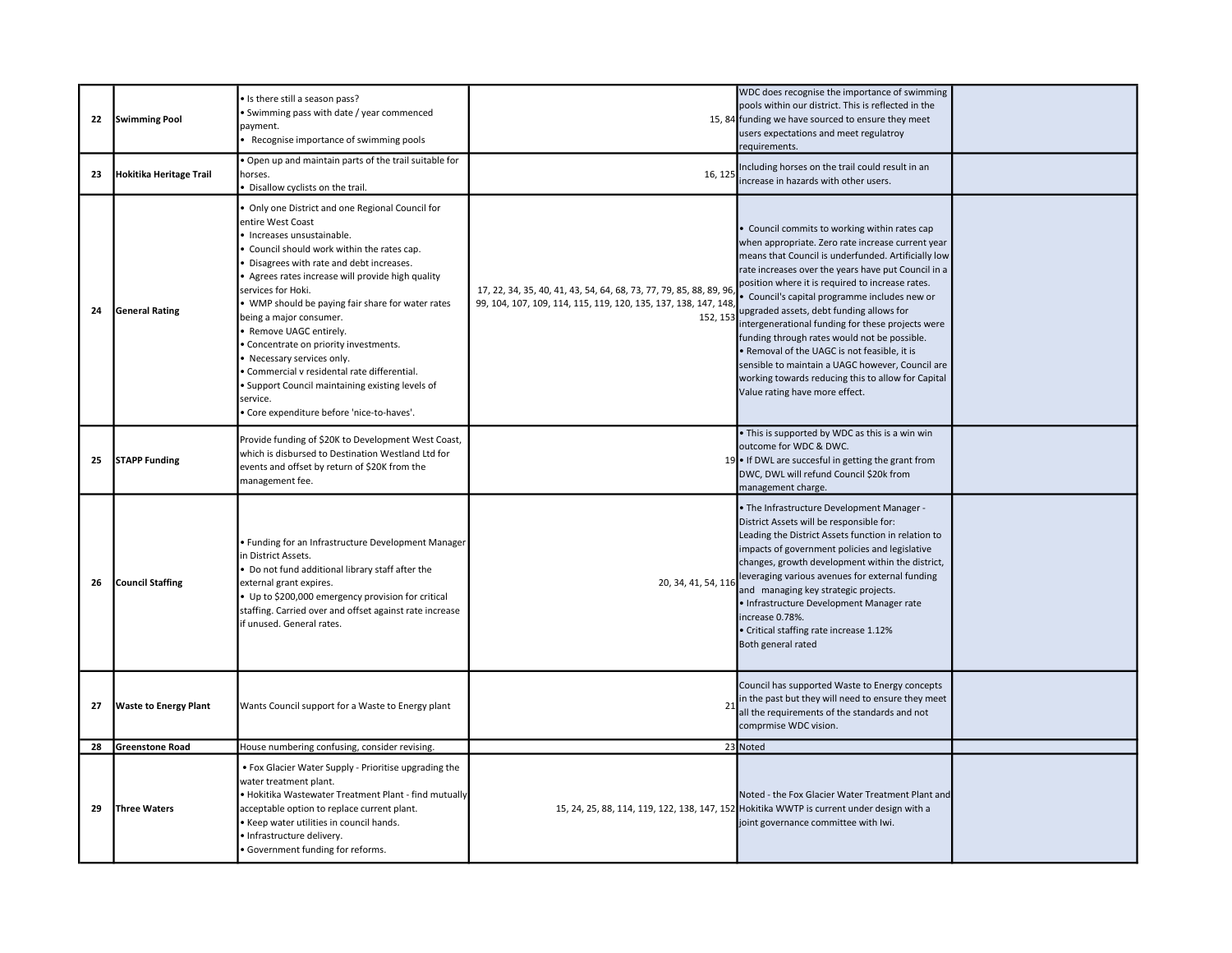| 22 | <b>Swimming Pool</b>         | · Is there still a season pass?<br>Swimming pass with date / year commenced<br>payment.<br>Recognise importance of swimming pools                                                                                                                                                                                                                                                                                                                                                                                                                                                                         |                                                                                                                                                  | WDC does recognise the importance of swimming<br>pools within our district. This is reflected in the<br>15, 84 funding we have sourced to ensure they meet<br>users expectations and meet regulatroy<br>requirements.                                                                                                                                                                                                                                                                                                                                                                                                                                            |  |
|----|------------------------------|-----------------------------------------------------------------------------------------------------------------------------------------------------------------------------------------------------------------------------------------------------------------------------------------------------------------------------------------------------------------------------------------------------------------------------------------------------------------------------------------------------------------------------------------------------------------------------------------------------------|--------------------------------------------------------------------------------------------------------------------------------------------------|------------------------------------------------------------------------------------------------------------------------------------------------------------------------------------------------------------------------------------------------------------------------------------------------------------------------------------------------------------------------------------------------------------------------------------------------------------------------------------------------------------------------------------------------------------------------------------------------------------------------------------------------------------------|--|
| 23 | Hokitika Heritage Trail      | Open up and maintain parts of the trail suitable for<br>horses.<br>Disallow cyclists on the trail.                                                                                                                                                                                                                                                                                                                                                                                                                                                                                                        | 16, 125                                                                                                                                          | Including horses on the trail could result in an<br>increase in hazards with other users.                                                                                                                                                                                                                                                                                                                                                                                                                                                                                                                                                                        |  |
| 24 | <b>General Rating</b>        | Only one District and one Regional Council for<br>entire West Coast<br>· Increases unsustainable.<br>Council should work within the rates cap.<br>Disagrees with rate and debt increases.<br>Agrees rates increase will provide high quality<br>services for Hoki.<br>• WMP should be paying fair share for water rates<br>being a major consumer.<br>· Remove UAGC entirely.<br>Concentrate on priority investments.<br>Necessary services only.<br>Commercial v residental rate differential.<br>Support Council maintaining existing levels of<br>service.<br>Core expenditure before 'nice-to-haves'. | 17, 22, 34, 35, 40, 41, 43, 54, 64, 68, 73, 77, 79, 85, 88, 89, 96<br>99, 104, 107, 109, 114, 115, 119, 120, 135, 137, 138, 147, 148<br>152, 153 | Council commits to working within rates cap<br>when appropriate. Zero rate increase current year<br>means that Council is underfunded. Artificially low<br>rate increases over the years have put Council in a<br>position where it is required to increase rates.<br>· Council's capital programme includes new or<br>upgraded assets, debt funding allows for<br>intergenerational funding for these projects were<br>funding through rates would not be possible.<br>. Removal of the UAGC is not feasible, it is<br>sensible to maintain a UAGC however, Council are<br>working towards reducing this to allow for Capital<br>Value rating have more effect. |  |
| 25 | <b>STAPP Funding</b>         | Provide funding of \$20K to Development West Coast,<br>which is disbursed to Destination Westland Ltd for<br>events and offset by return of \$20K from the<br>management fee.                                                                                                                                                                                                                                                                                                                                                                                                                             |                                                                                                                                                  | • This is supported by WDC as this is a win win<br>outcome for WDC & DWC.<br>19 . If DWL are succesful in getting the grant from<br>DWC, DWL will refund Council \$20k from<br>management charge.                                                                                                                                                                                                                                                                                                                                                                                                                                                                |  |
| 26 | <b>Council Staffing</b>      | · Funding for an Infrastructure Development Manager<br>in District Assets.<br>Do not fund additional library staff after the<br>external grant expires.<br>• Up to \$200,000 emergency provision for critical<br>staffing. Carried over and offset against rate increase<br>if unused. General rates.                                                                                                                                                                                                                                                                                                     | 20, 34, 41, 54, 116                                                                                                                              | . The Infrastructure Development Manager -<br>District Assets will be responsible for:<br>Leading the District Assets function in relation to<br>impacts of government policies and legislative<br>changes, growth development within the district,<br>leveraging various avenues for external funding<br>and managing key strategic projects.<br>• Infrastructure Development Manager rate<br>increase 0.78%.<br>• Critical staffing rate increase 1.12%<br>Both general rated                                                                                                                                                                                  |  |
| 27 | <b>Waste to Energy Plant</b> | Wants Council support for a Waste to Energy plant                                                                                                                                                                                                                                                                                                                                                                                                                                                                                                                                                         | 21                                                                                                                                               | Council has supported Waste to Energy concepts<br>in the past but they will need to ensure they meet<br>all the requirements of the standards and not<br>comprmise WDC vision.                                                                                                                                                                                                                                                                                                                                                                                                                                                                                   |  |
| 28 | <b>Greenstone Road</b>       | House numbering confusing, consider revising.                                                                                                                                                                                                                                                                                                                                                                                                                                                                                                                                                             |                                                                                                                                                  | 23 Noted                                                                                                                                                                                                                                                                                                                                                                                                                                                                                                                                                                                                                                                         |  |
| 29 | Three Waters                 | • Fox Glacier Water Supply - Prioritise upgrading the<br>water treatment plant.<br>Hokitika Wastewater Treatment Plant - find mutually<br>acceptable option to replace current plant.<br>Keep water utilities in council hands.<br>· Infrastructure delivery.<br>Government funding for reforms.                                                                                                                                                                                                                                                                                                          |                                                                                                                                                  | Noted - the Fox Glacier Water Treatment Plant and<br>15, 24, 25, 88, 114, 119, 122, 138, 147, 152 Hokitika WWTP is current under design with a<br>joint governance committee with Iwi.                                                                                                                                                                                                                                                                                                                                                                                                                                                                           |  |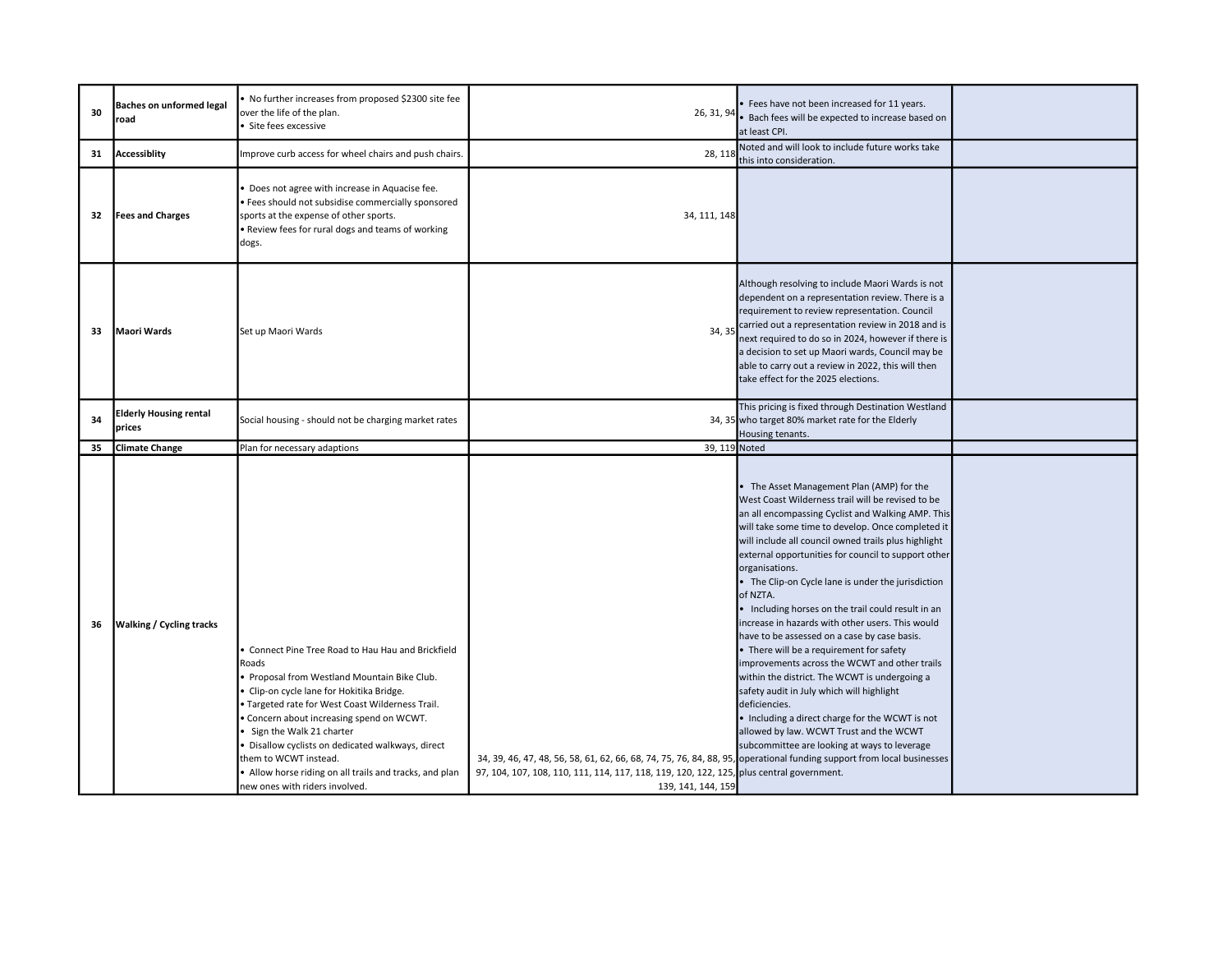| 30 | <b>Baches on unformed legal</b><br>road | No further increases from proposed \$2300 site fee<br>over the life of the plan.<br>Site fees excessive                                                                                                                                                                                                                                                                                                                                              | 26, 31, 94                                                                                                                                                                                                                              | · Fees have not been increased for 11 years.<br>· Bach fees will be expected to increase based on<br>at least CPI.                                                                                                                                                                                                                                                                                                                                                                                                                                                                                                                                                                                                                                                                                                                                                                                                              |  |
|----|-----------------------------------------|------------------------------------------------------------------------------------------------------------------------------------------------------------------------------------------------------------------------------------------------------------------------------------------------------------------------------------------------------------------------------------------------------------------------------------------------------|-----------------------------------------------------------------------------------------------------------------------------------------------------------------------------------------------------------------------------------------|---------------------------------------------------------------------------------------------------------------------------------------------------------------------------------------------------------------------------------------------------------------------------------------------------------------------------------------------------------------------------------------------------------------------------------------------------------------------------------------------------------------------------------------------------------------------------------------------------------------------------------------------------------------------------------------------------------------------------------------------------------------------------------------------------------------------------------------------------------------------------------------------------------------------------------|--|
| 31 | Accessiblity                            | mprove curb access for wheel chairs and push chairs.                                                                                                                                                                                                                                                                                                                                                                                                 | 28, 118                                                                                                                                                                                                                                 | Noted and will look to include future works take<br>this into consideration.                                                                                                                                                                                                                                                                                                                                                                                                                                                                                                                                                                                                                                                                                                                                                                                                                                                    |  |
| 32 | <b>Fees and Charges</b>                 | Does not agree with increase in Aquacise fee.<br>· Fees should not subsidise commercially sponsored<br>sports at the expense of other sports.<br>. Review fees for rural dogs and teams of working<br>dogs.                                                                                                                                                                                                                                          | 34, 111, 148                                                                                                                                                                                                                            |                                                                                                                                                                                                                                                                                                                                                                                                                                                                                                                                                                                                                                                                                                                                                                                                                                                                                                                                 |  |
| 33 | <b>IMaori Wards</b>                     | Set up Maori Wards                                                                                                                                                                                                                                                                                                                                                                                                                                   | 34, 35                                                                                                                                                                                                                                  | Although resolving to include Maori Wards is not<br>dependent on a representation review. There is a<br>requirement to review representation. Council<br>carried out a representation review in 2018 and is<br>next required to do so in 2024, however if there is<br>a decision to set up Maori wards, Council may be<br>able to carry out a review in 2022, this will then<br>take effect for the 2025 elections.                                                                                                                                                                                                                                                                                                                                                                                                                                                                                                             |  |
| 34 | <b>Elderly Housing rental</b><br>prices | Social housing - should not be charging market rates                                                                                                                                                                                                                                                                                                                                                                                                 |                                                                                                                                                                                                                                         | This pricing is fixed through Destination Westland<br>34, 35 who target 80% market rate for the Elderly<br>Housing tenants.                                                                                                                                                                                                                                                                                                                                                                                                                                                                                                                                                                                                                                                                                                                                                                                                     |  |
| 35 | <b>Climate Change</b>                   | Plan for necessary adaptions                                                                                                                                                                                                                                                                                                                                                                                                                         | 39, 119 Noted                                                                                                                                                                                                                           |                                                                                                                                                                                                                                                                                                                                                                                                                                                                                                                                                                                                                                                                                                                                                                                                                                                                                                                                 |  |
| 36 | <b>Walking / Cycling tracks</b>         | Connect Pine Tree Road to Hau Hau and Brickfield<br>Roads<br>Proposal from Westland Mountain Bike Club.<br>Clip-on cycle lane for Hokitika Bridge.<br>Targeted rate for West Coast Wilderness Trail.<br>Concern about increasing spend on WCWT.<br>Sign the Walk 21 charter<br>Disallow cyclists on dedicated walkways, direct<br>them to WCWT instead.<br>• Allow horse riding on all trails and tracks, and plan<br>new ones with riders involved. | 34, 39, 46, 47, 48, 56, 58, 61, 62, 66, 68, 74, 75, 76, 84, 88, 95, operational funding support from local businesses<br>97, 104, 107, 108, 110, 111, 114, 117, 118, 119, 120, 122, 125, plus central government.<br>139, 141, 144, 159 | • The Asset Management Plan (AMP) for the<br>West Coast Wilderness trail will be revised to be<br>an all encompassing Cyclist and Walking AMP. This<br>will take some time to develop. Once completed it<br>will include all council owned trails plus highlight<br>external opportunities for council to support other<br>organisations.<br>• The Clip-on Cycle lane is under the jurisdiction<br>of NZTA.<br>• Including horses on the trail could result in an<br>increase in hazards with other users. This would<br>have to be assessed on a case by case basis.<br>• There will be a requirement for safety<br>improvements across the WCWT and other trails<br>within the district. The WCWT is undergoing a<br>safety audit in July which will highlight<br>deficiencies.<br>• Including a direct charge for the WCWT is not<br>allowed by law. WCWT Trust and the WCWT<br>subcommittee are looking at ways to leverage |  |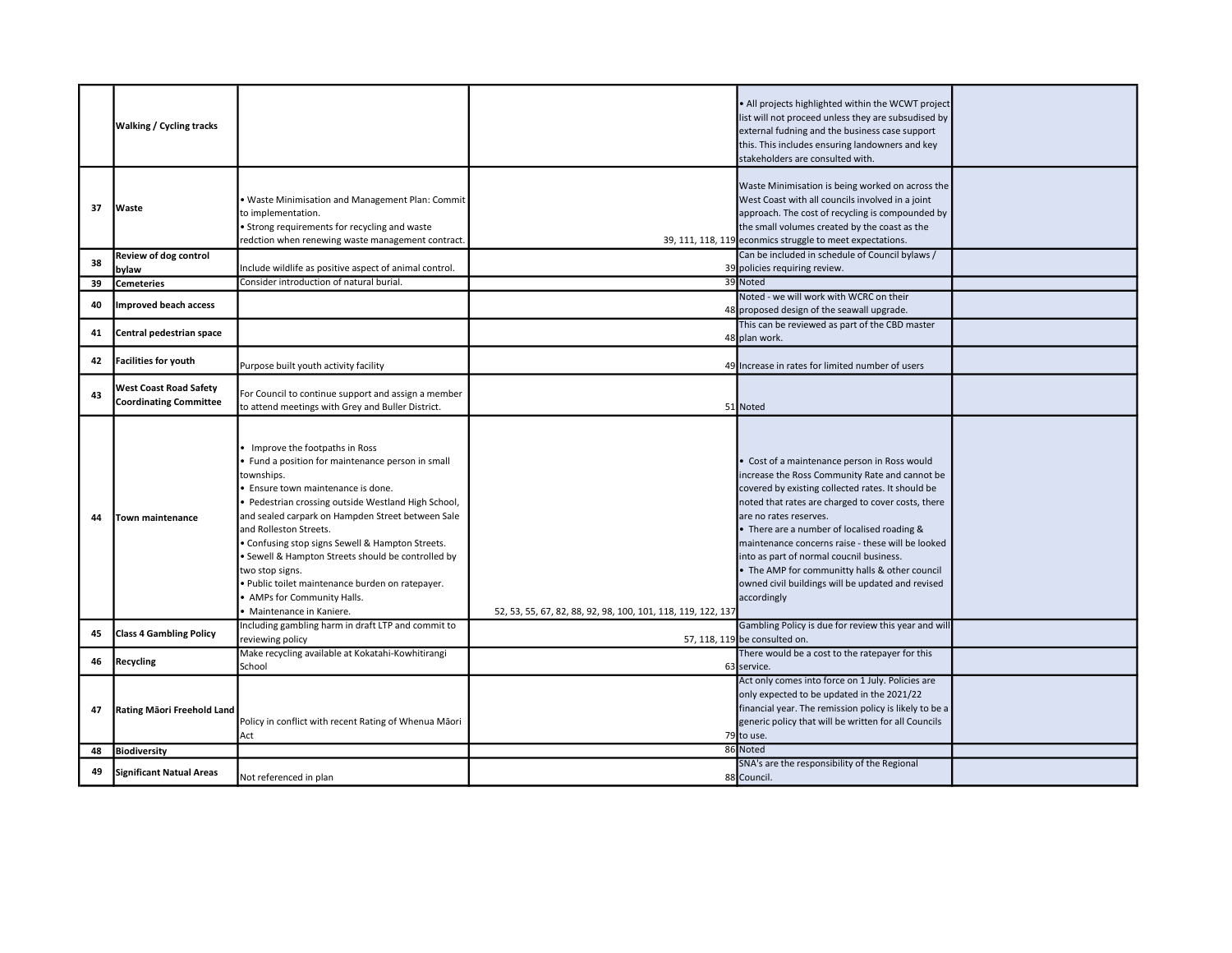|    | <b>Walking / Cycling tracks</b>                                |                                                                                                                                                                                                                                                                                                                                                                                                                                                                                                                       |                                                              | . All projects highlighted within the WCWT project<br>list will not proceed unless they are subsudised by<br>external fudning and the business case support<br>this. This includes ensuring landowners and key<br>stakeholders are consulted with.                                                                                                                                                                                                                                                        |  |
|----|----------------------------------------------------------------|-----------------------------------------------------------------------------------------------------------------------------------------------------------------------------------------------------------------------------------------------------------------------------------------------------------------------------------------------------------------------------------------------------------------------------------------------------------------------------------------------------------------------|--------------------------------------------------------------|-----------------------------------------------------------------------------------------------------------------------------------------------------------------------------------------------------------------------------------------------------------------------------------------------------------------------------------------------------------------------------------------------------------------------------------------------------------------------------------------------------------|--|
| 37 | <b>Waste</b>                                                   | . Waste Minimisation and Management Plan: Commit<br>to implementation.<br>• Strong requirements for recycling and waste<br>redction when renewing waste management contract.                                                                                                                                                                                                                                                                                                                                          |                                                              | Waste Minimisation is being worked on across the<br>West Coast with all councils involved in a joint<br>approach. The cost of recycling is compounded by<br>the small volumes created by the coast as the<br>39, 111, 118, 119 econmics struggle to meet expectations.                                                                                                                                                                                                                                    |  |
| 38 | Review of dog control<br>bylaw                                 | Include wildlife as positive aspect of animal control.                                                                                                                                                                                                                                                                                                                                                                                                                                                                |                                                              | Can be included in schedule of Council bylaws /<br>39 policies requiring review.                                                                                                                                                                                                                                                                                                                                                                                                                          |  |
| 39 | <b>Cemeteries</b>                                              | Consider introduction of natural burial.                                                                                                                                                                                                                                                                                                                                                                                                                                                                              |                                                              | 39 Noted                                                                                                                                                                                                                                                                                                                                                                                                                                                                                                  |  |
| 40 | <b>Improved beach access</b>                                   |                                                                                                                                                                                                                                                                                                                                                                                                                                                                                                                       |                                                              | Noted - we will work with WCRC on their<br>48 proposed design of the seawall upgrade.                                                                                                                                                                                                                                                                                                                                                                                                                     |  |
| 41 | Central pedestrian space                                       |                                                                                                                                                                                                                                                                                                                                                                                                                                                                                                                       |                                                              | This can be reviewed as part of the CBD master<br>48 plan work.                                                                                                                                                                                                                                                                                                                                                                                                                                           |  |
| 42 | <b>Facilities for youth</b>                                    | Purpose built youth activity facility                                                                                                                                                                                                                                                                                                                                                                                                                                                                                 |                                                              | 49 Increase in rates for limited number of users                                                                                                                                                                                                                                                                                                                                                                                                                                                          |  |
| 43 | <b>West Coast Road Safety</b><br><b>Coordinating Committee</b> | For Council to continue support and assign a member<br>to attend meetings with Grey and Buller District.                                                                                                                                                                                                                                                                                                                                                                                                              |                                                              | 51 Noted                                                                                                                                                                                                                                                                                                                                                                                                                                                                                                  |  |
| 44 | Town maintenance                                               | Improve the footpaths in Ross<br>Fund a position for maintenance person in small<br>townships.<br>Ensure town maintenance is done.<br>· Pedestrian crossing outside Westland High School,<br>and sealed carpark on Hampden Street between Sale<br>and Rolleston Streets.<br>· Confusing stop signs Sewell & Hampton Streets.<br>· Sewell & Hampton Streets should be controlled by<br>two stop signs.<br>· Public toilet maintenance burden on ratepayer.<br>• AMPs for Community Halls.<br>· Maintenance in Kaniere. | 52, 53, 55, 67, 82, 88, 92, 98, 100, 101, 118, 119, 122, 137 | • Cost of a maintenance person in Ross would<br>increase the Ross Community Rate and cannot be<br>covered by existing collected rates. It should be<br>noted that rates are charged to cover costs, there<br>are no rates reserves.<br>• There are a number of localised roading &<br>maintenance concerns raise - these will be looked<br>into as part of normal coucnil business.<br>• The AMP for communitty halls & other council<br>owned civil buildings will be updated and revised<br>accordingly |  |
| 45 | <b>Class 4 Gambling Policy</b>                                 | Including gambling harm in draft LTP and commit to<br>reviewing policy                                                                                                                                                                                                                                                                                                                                                                                                                                                |                                                              | Gambling Policy is due for review this year and will<br>57, 118, 119 be consulted on.                                                                                                                                                                                                                                                                                                                                                                                                                     |  |
| 46 | Recycling                                                      | Make recycling available at Kokatahi-Kowhitirangi<br>School                                                                                                                                                                                                                                                                                                                                                                                                                                                           |                                                              | There would be a cost to the ratepayer for this<br>63 service.                                                                                                                                                                                                                                                                                                                                                                                                                                            |  |
| 47 | Rating Māori Freehold Land                                     | Policy in conflict with recent Rating of Whenua Māori<br>Act                                                                                                                                                                                                                                                                                                                                                                                                                                                          |                                                              | Act only comes into force on 1 July. Policies are<br>only expected to be updated in the 2021/22<br>financial year. The remission policy is likely to be a<br>generic policy that will be written for all Councils<br>79 to use.                                                                                                                                                                                                                                                                           |  |
| 48 | Biodiversity                                                   |                                                                                                                                                                                                                                                                                                                                                                                                                                                                                                                       |                                                              | 86 Noted                                                                                                                                                                                                                                                                                                                                                                                                                                                                                                  |  |
| 49 | <b>Significant Natual Areas</b>                                | Not referenced in plan                                                                                                                                                                                                                                                                                                                                                                                                                                                                                                |                                                              | SNA's are the responsibility of the Regional<br>88 Council.                                                                                                                                                                                                                                                                                                                                                                                                                                               |  |